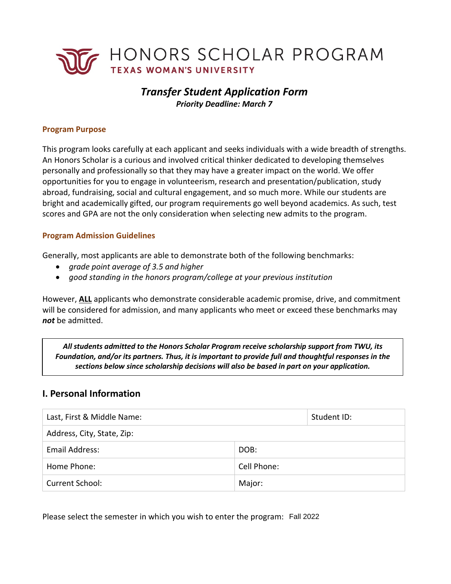

# *Transfer Student Application Form Priority Deadline: March 7*

#### **Program Purpose**

This program looks carefully at each applicant and seeks individuals with a wide breadth of strengths. An Honors Scholar is a curious and involved critical thinker dedicated to developing themselves personally and professionally so that they may have a greater impact on the world. We offer opportunities for you to engage in volunteerism, research and presentation/publication, study abroad, fundraising, social and cultural engagement, and so much more. While our students are bright and academically gifted, our program requirements go well beyond academics. As such, test scores and GPA are not the only consideration when selecting new admits to the program.

#### **Program Admission Guidelines**

Generally, most applicants are able to demonstrate both of the following benchmarks:

- *grade point average of 3.5 and higher*
- *good standing in the honors program/college at your previous institution*

However, **ALL** applicants who demonstrate considerable academic promise, drive, and commitment will be considered for admission, and many applicants who meet or exceed these benchmarks may *not* be admitted.

 *All students admitted to the Honors Scholar Program receive scholarship support from TWU, its Foundation, and/or its partners. Thus, it is important to provide full and thoughtful responses in the sections below since scholarship decisions will also be based in part on your application.* 

### **I. Personal Information**

| Last, First & Middle Name: |             | Student ID: |  |
|----------------------------|-------------|-------------|--|
| Address, City, State, Zip: |             |             |  |
| Email Address:             | DOB:        |             |  |
| Home Phone:                | Cell Phone: |             |  |
| Current School:            | Major:      |             |  |

Please select the semester in which you wish to enter the program: Fall 2022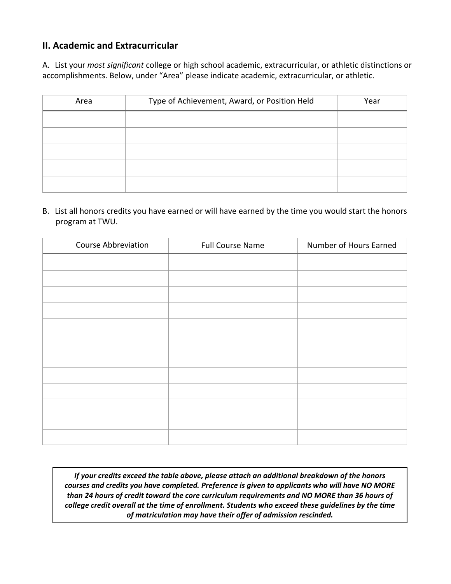## **II. Academic and Extracurricular**

 accomplishments. Below, under "Area" please indicate academic, extracurricular, or athletic. A. List your *most significant* college or high school academic, extracurricular, or athletic distinctions or

| Area | Type of Achievement, Award, or Position Held | Year |
|------|----------------------------------------------|------|
|      |                                              |      |
|      |                                              |      |
|      |                                              |      |
|      |                                              |      |
|      |                                              |      |

B. List all honors credits you have earned or will have earned by the time you would start the honors program at TWU.

| <b>Course Abbreviation</b> | <b>Full Course Name</b> | Number of Hours Earned |
|----------------------------|-------------------------|------------------------|
|                            |                         |                        |
|                            |                         |                        |
|                            |                         |                        |
|                            |                         |                        |
|                            |                         |                        |
|                            |                         |                        |
|                            |                         |                        |
|                            |                         |                        |
|                            |                         |                        |
|                            |                         |                        |
|                            |                         |                        |
|                            |                         |                        |

*If your credits exceed the table above, please attach an additional breakdown of the honors courses and credits you have completed. Preference is given to applicants who will have NO MORE than 24 hours of credit toward the core curriculum requirements and NO MORE than 36 hours of college credit overall at the time of enrollment. Students who exceed these guidelines by the time of matriculation may have their offer of admission rescinded.*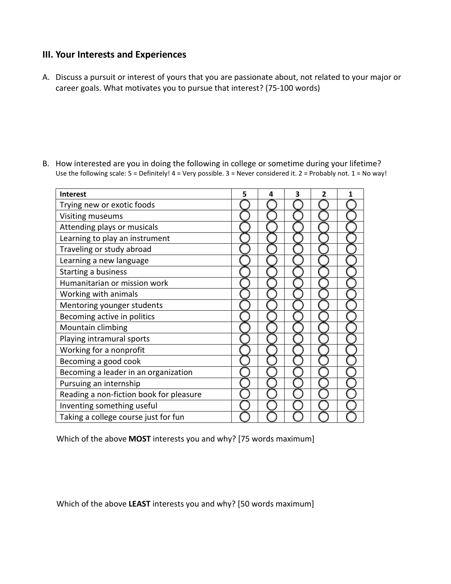### **III. Your Interests and Experiences**

 A. Discuss a pursuit or interest of yours that you are passionate about, not related to your major or career goals. What motivates you to pursue that interest? (75-100 words)

- Trying new or exotic foods **Interest**  $\begin{array}{|c|c|c|c|c|c|} \hline \text{5} & \text{4} & \text{3} & \text{2} & \text{1} \ \hline \end{array}$ Visiting museums Attending plays or musicals Learning to play an instrument Traveling or study abroad Learning a new language Starting a business Humanitarian or mission work Working with animals Mentoring younger students Becoming active in politics Mountain climbing Playing intramural sports Working for a nonprofit Becoming a good cook Becoming a leader in an organization Pursuing an internship Reading a non-fiction book for pleasure Inventing something useful Taking a college course just for fun
- B. How interested are you in doing the following in college or sometime during your lifetime? Use the following scale:  $5 =$  Definitely!  $4 =$  Very possible.  $3 =$  Never considered it.  $2 =$  Probably not.  $1 =$  No way!

Which of the above **MOST** interests you and why? [75 words maximum]

Which of the above **LEAST** interests you and why? [50 words maximum]